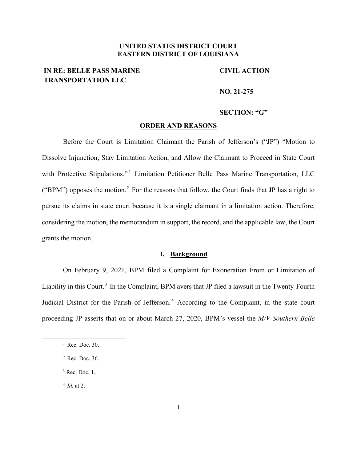## **UNITED STATES DISTRICT COURT EASTERN DISTRICT OF LOUISIANA**

# **IN RE: BELLE PASS MARINE TRANSPORTATION LLC**

### **CIVIL ACTION**

#### **NO. 21-275**

### **SECTION: "G"**

#### **ORDER AND REASONS**

Before the Court is Limitation Claimant the Parish of Jefferson's ("JP") "Motion to Dissolve Injunction, Stay Limitation Action, and Allow the Claimant to Proceed in State Court with Protective Stipulations."<sup>1</sup> Limitation Petitioner Belle Pass Marine Transportation, LLC ("BPM") opposes the motion.<sup>2</sup> For the reasons that follow, the Court finds that JP has a right to pursue its claims in state court because it is a single claimant in a limitation action. Therefore, considering the motion, the memorandum in support, the record, and the applicable law, the Court grants the motion.

## **I. Background**

On February 9, 2021, BPM filed a Complaint for Exoneration From or Limitation of Liability in this Court.<sup>3</sup> In the Complaint, BPM avers that JP filed a lawsuit in the Twenty-Fourth Judicial District for the Parish of Jefferson.<sup>4</sup> According to the Complaint, in the state court proceeding JP asserts that on or about March 27, 2020, BPM's vessel the *M/V Southern Belle*

<sup>4</sup> *Id.* at 2.

 $<sup>1</sup>$  Rec. Doc. 30.</sup>

<sup>2</sup> Rec. Doc. 36.

 $3$  Rec. Doc. 1.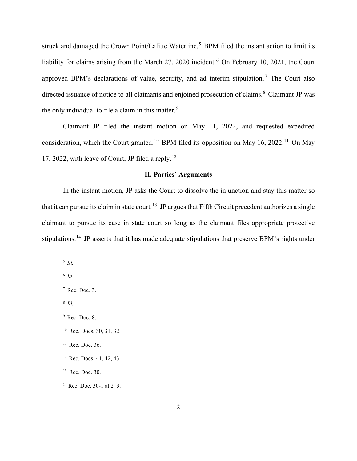struck and damaged the Crown Point/Lafitte Waterline.<sup>5</sup> BPM filed the instant action to limit its liability for claims arising from the March 27, 2020 incident.<sup>6</sup> On February 10, 2021, the Court approved BPM's declarations of value, security, and ad interim stipulation.<sup>7</sup> The Court also directed issuance of notice to all claimants and enjoined prosecution of claims.<sup>8</sup> Claimant JP was the only individual to file a claim in this matter.<sup>9</sup>

Claimant JP filed the instant motion on May 11, 2022, and requested expedited consideration, which the Court granted.<sup>10</sup> BPM filed its opposition on May 16, 2022.<sup>11</sup> On May 17, 2022, with leave of Court, JP filed a reply.<sup>12</sup>

## **II. Parties' Arguments**

In the instant motion, JP asks the Court to dissolve the injunction and stay this matter so that it can pursue its claim in state court.<sup>13</sup> JP argues that Fifth Circuit precedent authorizes a single claimant to pursue its case in state court so long as the claimant files appropriate protective stipulations.<sup>14</sup> JP asserts that it has made adequate stipulations that preserve BPM's rights under

<sup>5</sup> *Id.*

<sup>6</sup> *Id.*

<sup>8</sup> *Id.*

<sup>10</sup> Rec. Docs. 30, 31, 32.

 $<sup>7</sup>$  Rec. Doc. 3.</sup>

<sup>9</sup> Rec. Doc. 8.

<sup>&</sup>lt;sup>11</sup> Rec. Doc. 36.

<sup>&</sup>lt;sup>12</sup> Rec. Docs. 41, 42, 43.

 $13$  Rec. Doc. 30.

<sup>&</sup>lt;sup>14</sup> Rec. Doc. 30-1 at  $2-3$ .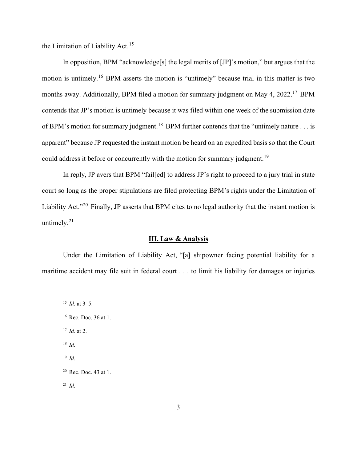the Limitation of Liability Act.<sup>15</sup>

In opposition, BPM "acknowledge[s] the legal merits of [JP]'s motion," but argues that the motion is untimely.<sup>16</sup> BPM asserts the motion is "untimely" because trial in this matter is two months away. Additionally, BPM filed a motion for summary judgment on May 4, 2022.<sup>17</sup> BPM contends that JP's motion is untimely because it was filed within one week of the submission date of BPM's motion for summary judgment.<sup>18</sup> BPM further contends that the "untimely nature . . . is apparent" because JP requested the instant motion be heard on an expedited basis so that the Court could address it before or concurrently with the motion for summary judgment.<sup>19</sup>

In reply, JP avers that BPM "fail[ed] to address JP's right to proceed to a jury trial in state court so long as the proper stipulations are filed protecting BPM's rights under the Limitation of Liability Act."<sup>20</sup> Finally, JP asserts that BPM cites to no legal authority that the instant motion is untimely.<sup>21</sup>

#### **III. Law & Analysis**

Under the Limitation of Liability Act, "[a] shipowner facing potential liability for a maritime accident may file suit in federal court . . . to limit his liability for damages or injuries

- <sup>17</sup> *Id.* at 2.
- <sup>18</sup> *Id.*
- <sup>19</sup> *Id.*

<sup>21</sup> *Id.*

<sup>15</sup> *Id.* at 3–5.

<sup>16</sup> Rec. Doc. 36 at 1.

<sup>20</sup> Rec. Doc. 43 at 1.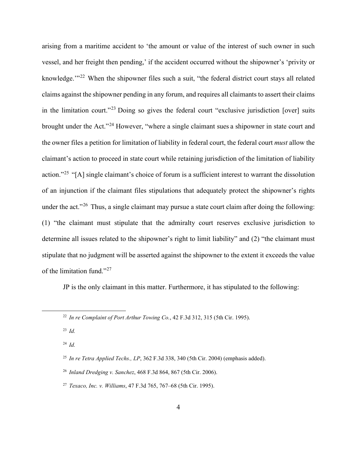arising from a maritime accident to 'the amount or value of the interest of such owner in such vessel, and her freight then pending,' if the accident occurred without the shipowner's 'privity or knowledge."<sup>22</sup> When the shipowner files such a suit, "the federal district court stays all related claims against the shipowner pending in any forum, and requires all claimants to assert their claims in the limitation court."<sup>23</sup> Doing so gives the federal court "exclusive jurisdiction [over] suits brought under the Act."<sup>24</sup> However, "where a single claimant sues a shipowner in state court and the owner files a petition for limitation of liability in federal court, the federal court *must* allow the claimant's action to proceed in state court while retaining jurisdiction of the limitation of liability action."<sup>25</sup> "[A] single claimant's choice of forum is a sufficient interest to warrant the dissolution of an injunction if the claimant files stipulations that adequately protect the shipowner's rights under the act."<sup>26</sup> Thus, a single claimant may pursue a state court claim after doing the following: (1) "the claimant must stipulate that the admiralty court reserves exclusive jurisdiction to determine all issues related to the shipowner's right to limit liability" and (2) "the claimant must stipulate that no judgment will be asserted against the shipowner to the extent it exceeds the value of the limitation fund."<sup>27</sup>

JP is the only claimant in this matter. Furthermore, it has stipulated to the following:

<sup>23</sup> *Id.*

<sup>24</sup> *Id.*

<sup>22</sup> *In re Complaint of Port Arthur Towing Co.*, 42 F.3d 312, 315 (5th Cir. 1995).

<sup>25</sup> *In re Tetra Applied Techs., LP*, 362 F.3d 338, 340 (5th Cir. 2004) (emphasis added).

<sup>26</sup> *Inland Dredging v. Sanchez*, 468 F.3d 864, 867 (5th Cir. 2006).

<sup>27</sup> *Texaco, Inc. v. Williams*, 47 F.3d 765, 767–68 (5th Cir. 1995).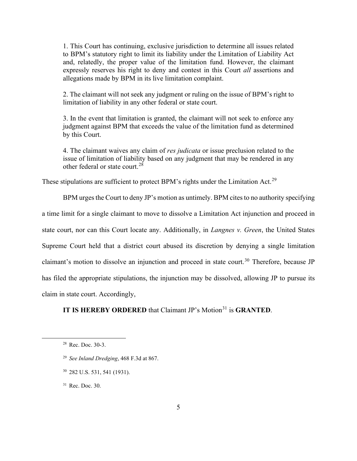1. This Court has continuing, exclusive jurisdiction to determine all issues related to BPM's statutory right to limit its liability under the Limitation of Liability Act and, relatedly, the proper value of the limitation fund. However, the claimant expressly reserves his right to deny and contest in this Court *all* assertions and allegations made by BPM in its live limitation complaint.

2. The claimant will not seek any judgment or ruling on the issue of BPM's right to limitation of liability in any other federal or state court.

3. In the event that limitation is granted, the claimant will not seek to enforce any judgment against BPM that exceeds the value of the limitation fund as determined by this Court.

4. The claimant waives any claim of *res judicata* or issue preclusion related to the issue of limitation of liability based on any judgment that may be rendered in any other federal or state court.<sup>28</sup>

These stipulations are sufficient to protect BPM's rights under the Limitation Act.<sup>29</sup>

BPM urges the Court to deny JP's motion as untimely. BPM cites to no authority specifying a time limit for a single claimant to move to dissolve a Limitation Act injunction and proceed in state court, nor can this Court locate any. Additionally, in *Langnes v. Green*, the United States Supreme Court held that a district court abused its discretion by denying a single limitation claimant's motion to dissolve an injunction and proceed in state court.<sup>30</sup> Therefore, because JP has filed the appropriate stipulations, the injunction may be dissolved, allowing JP to pursue its claim in state court. Accordingly,

## **IT IS HEREBY ORDERED** that Claimant JP's Motion<sup>31</sup> is **GRANTED**.

<sup>30</sup> 282 U.S. 531, 541 (1931).

<sup>31</sup> Rec. Doc. 30.

<sup>28</sup> Rec. Doc. 30-3.

<sup>29</sup> *See Inland Dredging*, 468 F.3d at 867.